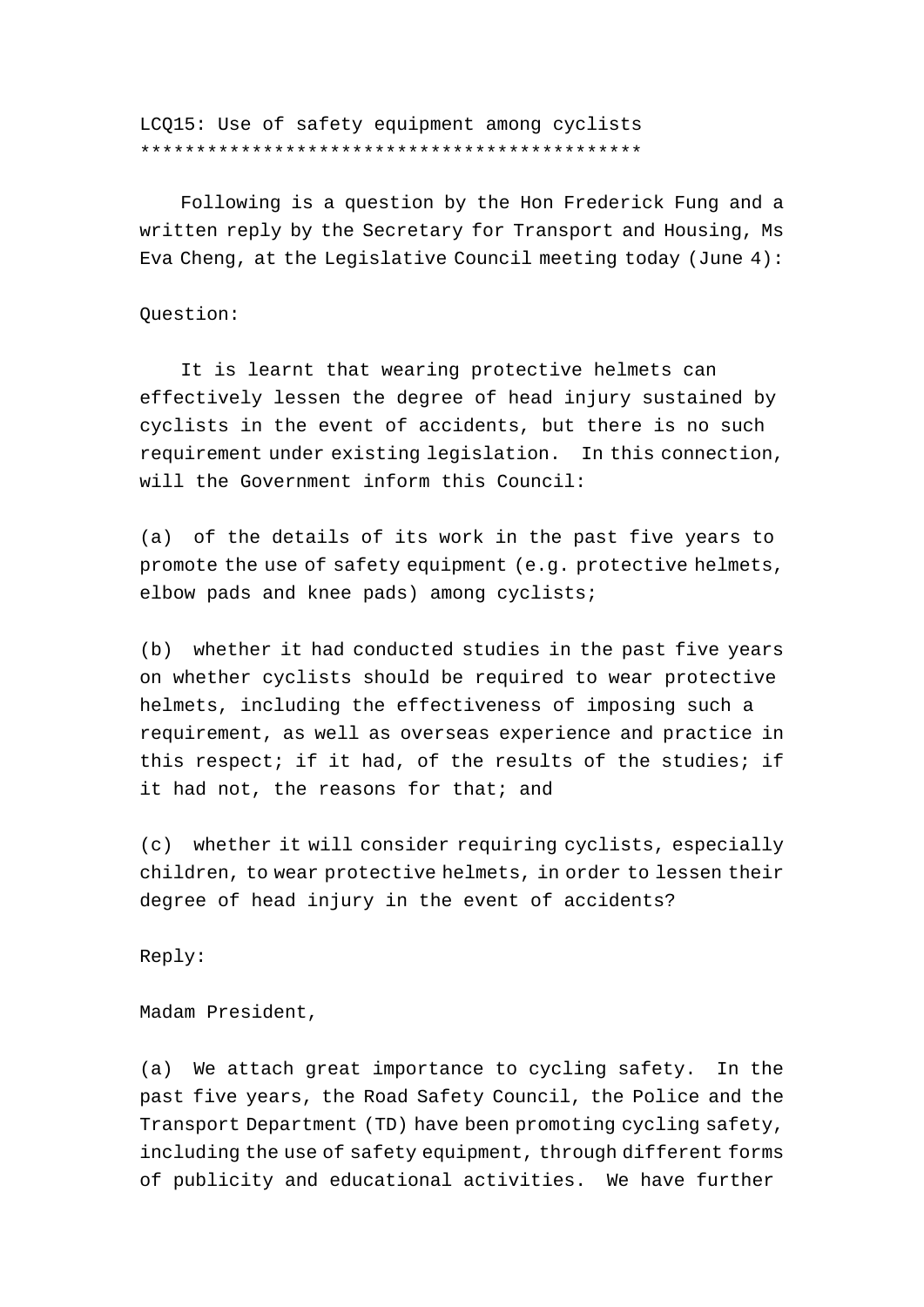LCQ15: Use of safety equipment among cyclists \*\*\*\*\*\*\*\*\*\*\*\*\*\*\*\*\*\*\*\*\*\*\*\*\*\*\*\*\*\*\*\*\*\*\*\*\*\*\*\*\*\*\*\*\*

 Following is a question by the Hon Frederick Fung and a written reply by the Secretary for Transport and Housing, Ms Eva Cheng, at the Legislative Council meeting today (June 4):

Question:

 It is learnt that wearing protective helmets can effectively lessen the degree of head injury sustained by cyclists in the event of accidents, but there is no such requirement under existing legislation. In this connection, will the Government inform this Council:

(a) of the details of its work in the past five years to promote the use of safety equipment (e.g. protective helmets, elbow pads and knee pads) among cyclists;

(b) whether it had conducted studies in the past five years on whether cyclists should be required to wear protective helmets, including the effectiveness of imposing such a requirement, as well as overseas experience and practice in this respect; if it had, of the results of the studies; if it had not, the reasons for that; and

(c) whether it will consider requiring cyclists, especially children, to wear protective helmets, in order to lessen their degree of head injury in the event of accidents?

Reply:

Madam President,

(a) We attach great importance to cycling safety. In the past five years, the Road Safety Council, the Police and the Transport Department (TD) have been promoting cycling safety, including the use of safety equipment, through different forms of publicity and educational activities. We have further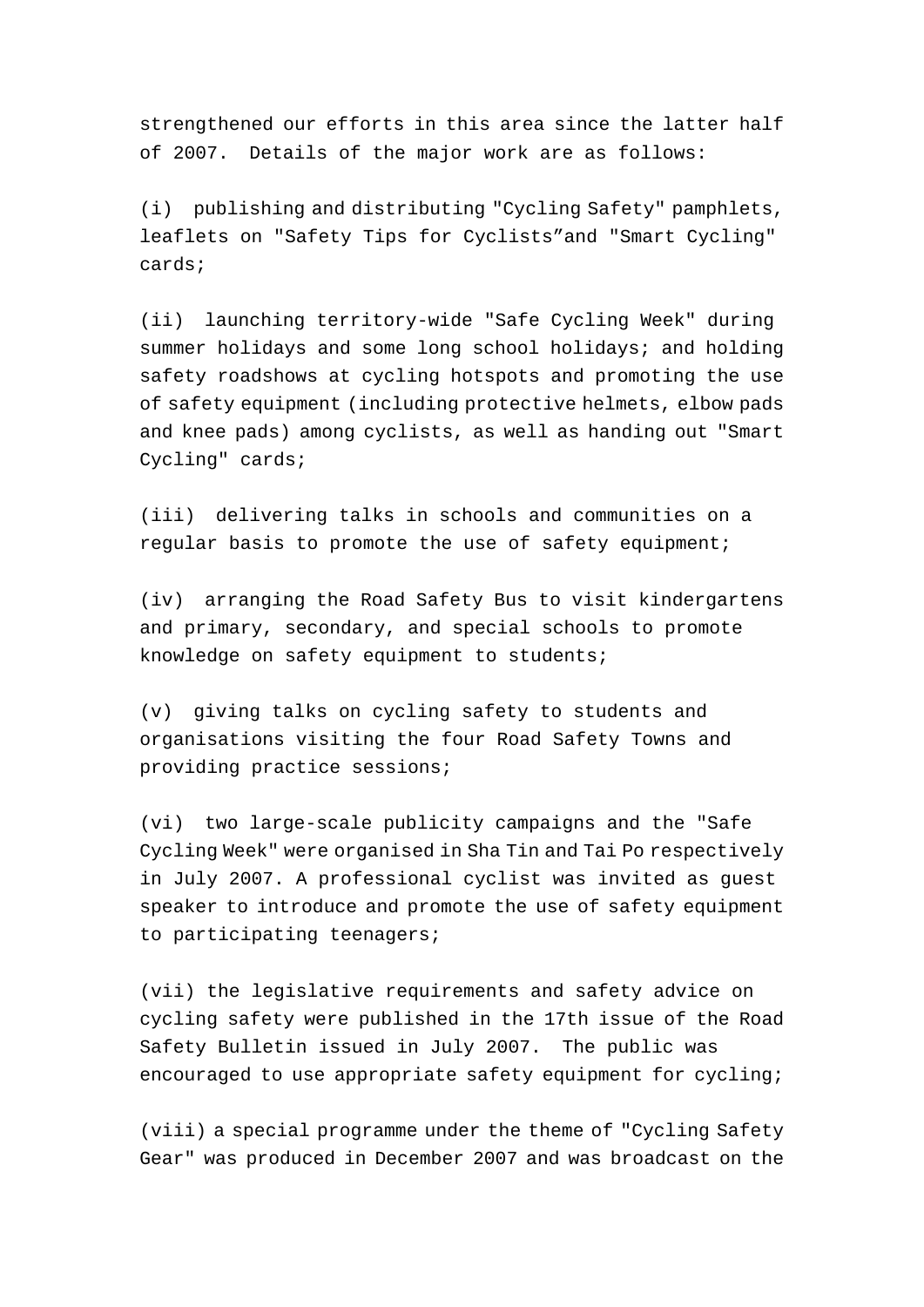strengthened our efforts in this area since the latter half of 2007. Details of the major work are as follows:

(i) publishing and distributing "Cycling Safety" pamphlets, leaflets on "Safety Tips for Cyclists"and "Smart Cycling" cards;

(ii) launching territory-wide "Safe Cycling Week" during summer holidays and some long school holidays; and holding safety roadshows at cycling hotspots and promoting the use of safety equipment (including protective helmets, elbow pads and knee pads) among cyclists, as well as handing out "Smart Cycling" cards;

(iii) delivering talks in schools and communities on a regular basis to promote the use of safety equipment;

(iv) arranging the Road Safety Bus to visit kindergartens and primary, secondary, and special schools to promote knowledge on safety equipment to students;

(v) giving talks on cycling safety to students and organisations visiting the four Road Safety Towns and providing practice sessions;

(vi) two large-scale publicity campaigns and the "Safe Cycling Week" were organised in Sha Tin and Tai Po respectively in July 2007. A professional cyclist was invited as guest speaker to introduce and promote the use of safety equipment to participating teenagers;

(vii) the legislative requirements and safety advice on cycling safety were published in the 17th issue of the Road Safety Bulletin issued in July 2007. The public was encouraged to use appropriate safety equipment for cycling;

(viii) a special programme under the theme of "Cycling Safety Gear" was produced in December 2007 and was broadcast on the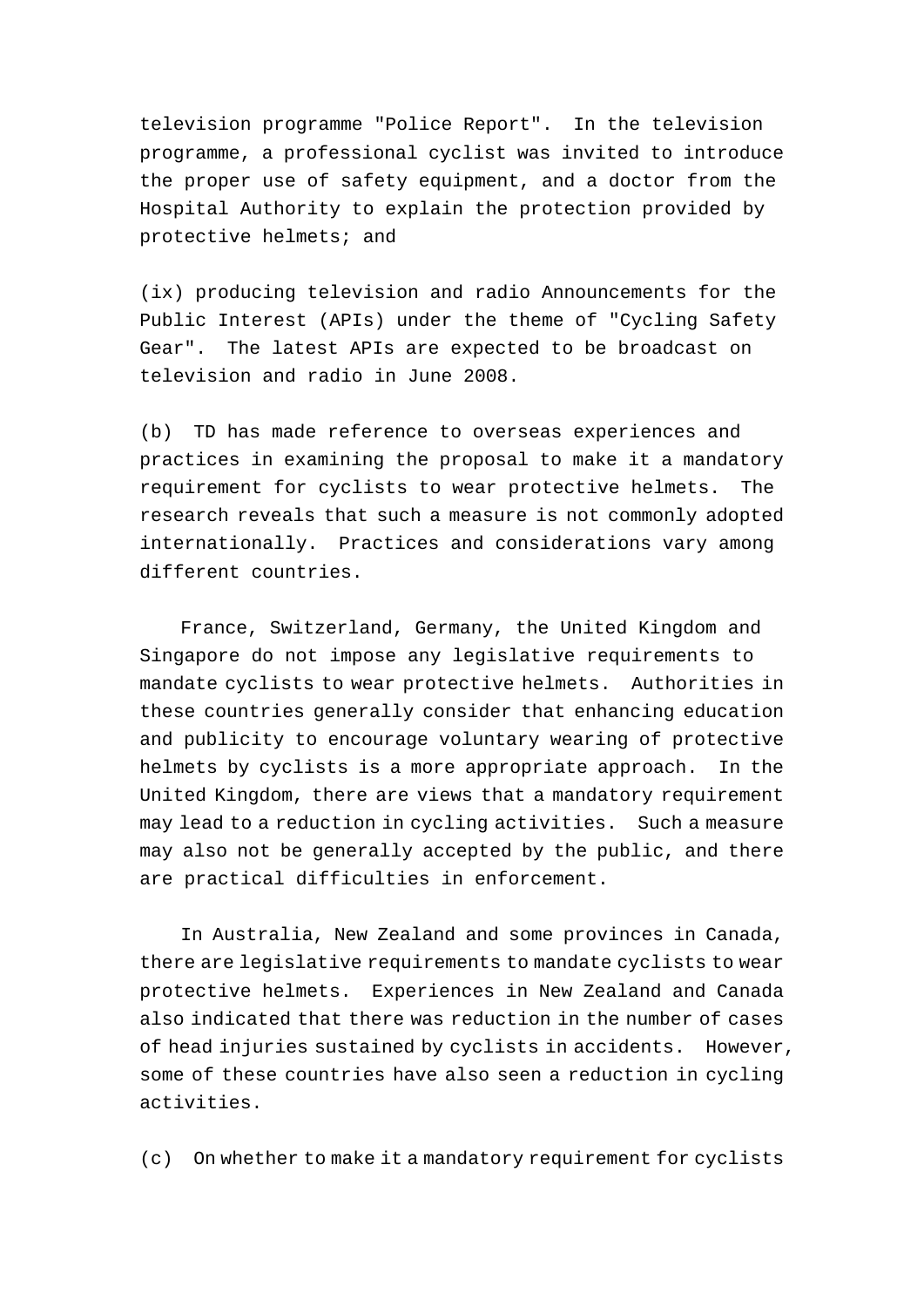television programme "Police Report". In the television programme, a professional cyclist was invited to introduce the proper use of safety equipment, and a doctor from the Hospital Authority to explain the protection provided by protective helmets; and

(ix) producing television and radio Announcements for the Public Interest (APIs) under the theme of "Cycling Safety Gear". The latest APIs are expected to be broadcast on television and radio in June 2008.

(b) TD has made reference to overseas experiences and practices in examining the proposal to make it a mandatory requirement for cyclists to wear protective helmets. The research reveals that such a measure is not commonly adopted internationally. Practices and considerations vary among different countries.

 France, Switzerland, Germany, the United Kingdom and Singapore do not impose any legislative requirements to mandate cyclists to wear protective helmets. Authorities in these countries generally consider that enhancing education and publicity to encourage voluntary wearing of protective helmets by cyclists is a more appropriate approach. In the United Kingdom, there are views that a mandatory requirement may lead to a reduction in cycling activities. Such a measure may also not be generally accepted by the public, and there are practical difficulties in enforcement.

 In Australia, New Zealand and some provinces in Canada, there are legislative requirements to mandate cyclists to wear protective helmets. Experiences in New Zealand and Canada also indicated that there was reduction in the number of cases of head injuries sustained by cyclists in accidents. However, some of these countries have also seen a reduction in cycling activities.

(c) On whether to make it a mandatory requirement for cyclists